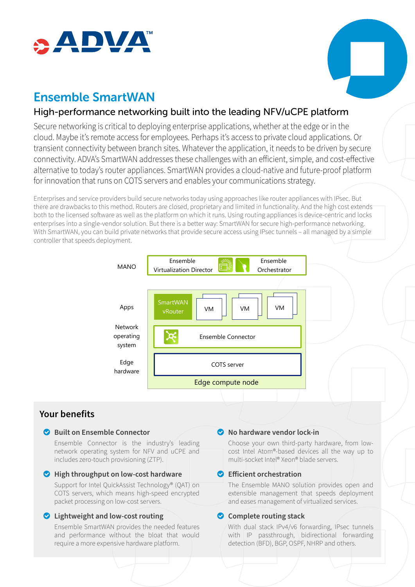



# Ensemble SmartWAN

# High-performance networking built into the leading NFV/uCPE platform

Secure networking is critical to deploying enterprise applications, whether at the edge or in the cloud. Maybe it's remote access for employees. Perhaps it's access to private cloud applications. Or transient connectivity between branch sites. Whatever the application, it needs to be driven by secure connectivity. ADVA's SmartWAN addresses these challenges with an efficient, simple, and cost-effective alternative to today's router appliances. SmartWAN provides a cloud-native and future-proof platform for innovation that runs on COTS servers and enables your communications strategy.

Enterprises and service providers build secure networks today using approaches like router appliances with IPsec. But there are drawbacks to this method. Routers are closed, proprietary and limited in functionality. And the high cost extends both to the licensed software as well as the platform on which it runs. Using routing appliances is device-centric and locks enterprises into a single-vendor solution. But there is a better way: SmartWAN for secure high-performance networking. With SmartWAN, you can build private networks that provide secure access using IPsec tunnels – all managed by a simple controller that speeds deployment.



# **Your benefits**

#### o **Built on Ensemble Connector**

Ensemble Connector is the industry's leading network operating system for NFV and uCPE and includes zero-touch provisioning (ZTP).

#### o **High throughput on low-cost hardware**

Support for Intel QuickAssist Technology® (QAT) on COTS servers, which means high-speed encrypted packet processing on low-cost servers.

### o **Lightweight and low-cost routing**

Ensemble SmartWAN provides the needed features and performance without the bloat that would require a more expensive hardware platform.

#### o **No hardware vendor lock-in**

Choose your own third-party hardware, from lowcost Intel Atom®-based devices all the way up to multi-socket Intel® Xeon® blade servers.

### o **Efficient orchestration**

The Ensemble MANO solution provides open and extensible management that speeds deployment and eases management of virtualized services.

### $\bullet$  Complete routing stack

With dual stack IPv4/v6 forwarding, IPsec tunnels with IP passthrough, bidirectional forwarding detection (BFD), BGP, OSPF, NHRP and others.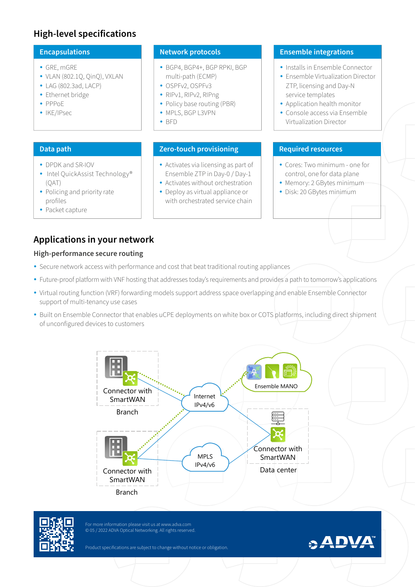# **High-level specifications**

#### • GRE, mGRE

- $\bullet$  VLAN (802.1Q, QinQ), VXLAN
- $\bullet$  LAG (802.3ad, LACP)
- Ethernet bridge
- y PPPoE
- IKE/IPsec

- DPDK and SR-IOV
- Intel QuickAssist Technology® (QAT)
- Policing and priority rate profiles
- Packet capture

- y BGP4, BGP4+, BGP RPKI, BGP multi-path (ECMP)
- OSPFv2, OSPFv3
- RIPv1, RIPv2, RIPng
- Policy base routing (PBR)
- MPLS, BGP L3VPN
- $\cdot$  BFD

#### **Data path Zero-touch provisioning Required resources**

- Activates via licensing as part of Ensemble ZTP in Day-0 / Day-1
- Activates without orchestration
- Deploy as virtual appliance or with orchestrated service chain

#### **Encapsulations Network protocols Ensemble integrations**

- Installs in Ensemble Connector
- Ensemble Virtualization Director ZTP, licensing and Day-N service templates
- Application health monitor
- Console access via Ensemble Virtualization Director

- Cores: Two minimum one for control, one for data plane
- Memory: 2 GBytes minimum-
- Disk: 20 GBytes minimum

# **Applications in your network**

#### **High-performance secure routing**

- Secure network access with performance and cost that beat traditional routing appliances
- Future-proof platform with VNF hosting that addresses today's requirements and provides a path to tomorrow's applications
- Virtual routing function (VRF) forwarding models support address space overlapping and enable Ensemble Connector support of multi-tenancy use cases
- Built on Ensemble Connector that enables uCPE deployments on white box or COTS platforms, including direct shipment of unconfigured devices to customers





For more information please visit us at www.adva.com © 05 / 2022 ADVA Optical Networking. All rights reserved.

Product specifications are subject to change without notice or obligation.

# **ADVA**